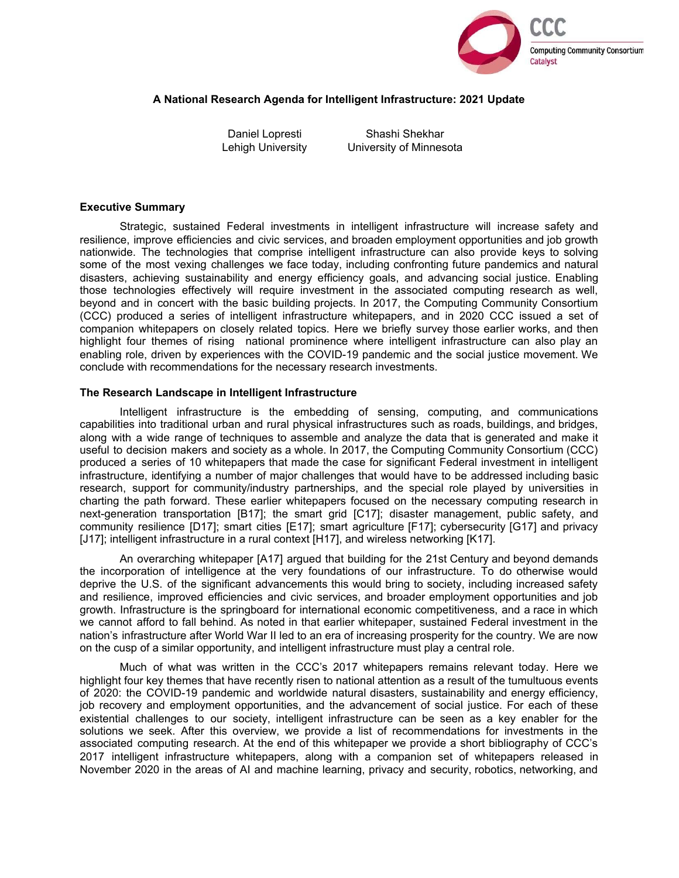

## **A National Research Agenda for Intelligent Infrastructure: 2021 Update**

Daniel Lopresti Lehigh University

Shashi Shekhar University of Minnesota

### **Executive Summary**

Strategic, sustained Federal investments in intelligent infrastructure will increase safety and resilience, improve efficiencies and civic services, and broaden employment opportunities and job growth nationwide. The technologies that comprise intelligent infrastructure can also provide keys to solving some of the most vexing challenges we face today, including confronting future pandemics and natural disasters, achieving sustainability and energy efficiency goals, and advancing social justice. Enabling those technologies effectively will require investment in the associated computing research as well, beyond and in concert with the basic building projects. In 2017, the Computing Community Consortium (CCC) produced a series of intelligent infrastructure whitepapers, and in 2020 CCC issued a set of companion whitepapers on closely related topics. Here we briefly survey those earlier works, and then highlight four themes of rising national prominence where intelligent infrastructure can also play an enabling role, driven by experiences with the COVID-19 pandemic and the social justice movement. We conclude with recommendations for the necessary research investments.

#### **The Research Landscape in Intelligent Infrastructure**

Intelligent infrastructure is the embedding of sensing, computing, and communications capabilities into traditional urban and rural physical infrastructures such as roads, buildings, and bridges, along with a wide range of techniques to assemble and analyze the data that is generated and make it useful to decision makers and society as a whole. In 2017, the Computing Community Consortium (CCC) produced a series of 10 whitepapers that made the case for significant Federal investment in intelligent infrastructure, identifying a number of major challenges that would have to be addressed including basic research, support for community/industry partnerships, and the special role played by universities in charting the path forward. These earlier whitepapers focused on the necessary computing research in next-generation transportation [B17]; the smart grid [C17]; disaster management, public safety, and community resilience [D17]; smart cities [E17]; smart agriculture [F17]; cybersecurity [G17] and privacy [J17]; intelligent infrastructure in a rural context [H17], and wireless networking [K17].

An overarching whitepaper [A17] argued that building for the 21st Century and beyond demands the incorporation of intelligence at the very foundations of our infrastructure. To do otherwise would deprive the U.S. of the significant advancements this would bring to society, including increased safety and resilience, improved efficiencies and civic services, and broader employment opportunities and job growth. Infrastructure is the springboard for international economic competitiveness, and a race in which we cannot afford to fall behind. As noted in that earlier whitepaper, sustained Federal investment in the nation's infrastructure after World War II led to an era of increasing prosperity for the country. We are now on the cusp of a similar opportunity, and intelligent infrastructure must play a central role.

Much of what was written in the CCC's 2017 whitepapers remains relevant today. Here we highlight four key themes that have recently risen to national attention as a result of the tumultuous events of 2020: the COVID-19 pandemic and worldwide natural disasters, sustainability and energy efficiency, job recovery and employment opportunities, and the advancement of social justice. For each of these existential challenges to our society, intelligent infrastructure can be seen as a key enabler for the solutions we seek. After this overview, we provide a list of recommendations for investments in the associated computing research. At the end of this whitepaper we provide a short bibliography of CCC's 2017 intelligent infrastructure whitepapers, along with a companion set of whitepapers released in November 2020 in the areas of AI and machine learning, privacy and security, robotics, networking, and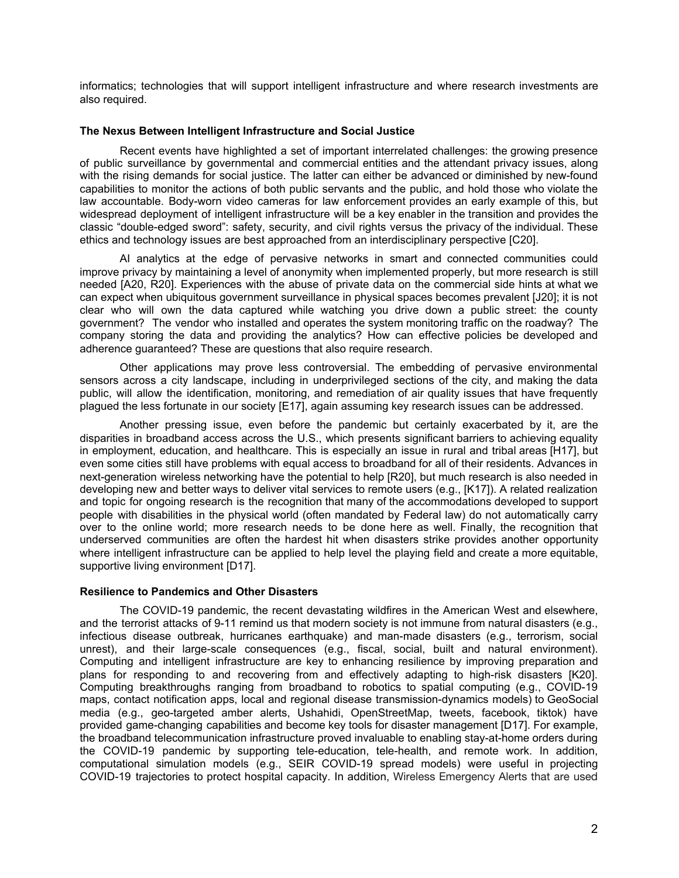informatics; technologies that will support intelligent infrastructure and where research investments are also required.

## **The Nexus Between Intelligent Infrastructure and Social Justice**

Recent events have highlighted a set of important interrelated challenges: the growing presence of public surveillance by governmental and commercial entities and the attendant privacy issues, along with the rising demands for social justice. The latter can either be advanced or diminished by new-found capabilities to monitor the actions of both public servants and the public, and hold those who violate the law accountable. Body-worn video cameras for law enforcement provides an early example of this, but widespread deployment of intelligent infrastructure will be a key enabler in the transition and provides the classic "double-edged sword": safety, security, and civil rights versus the privacy of the individual. These ethics and technology issues are best approached from an interdisciplinary perspective [C20].

AI analytics at the edge of pervasive networks in smart and connected communities could improve privacy by maintaining a level of anonymity when implemented properly, but more research is still needed [A20, R20]. Experiences with the abuse of private data on the commercial side hints at what we can expect when ubiquitous government surveillance in physical spaces becomes prevalent [J20]; it is not clear who will own the data captured while watching you drive down a public street: the county government? The vendor who installed and operates the system monitoring traffic on the roadway? The company storing the data and providing the analytics? How can effective policies be developed and adherence guaranteed? These are questions that also require research.

Other applications may prove less controversial. The embedding of pervasive environmental sensors across a city landscape, including in underprivileged sections of the city, and making the data public, will allow the identification, monitoring, and remediation of air quality issues that have frequently plagued the less fortunate in our society [E17], again assuming key research issues can be addressed.

Another pressing issue, even before the pandemic but certainly exacerbated by it, are the disparities in broadband access across the U.S., which presents significant barriers to achieving equality in employment, education, and healthcare. This is especially an issue in rural and tribal areas [H17], but even some cities still have problems with equal access to broadband for all of their residents. Advances in next-generation wireless networking have the potential to help [R20], but much research is also needed in developing new and better ways to deliver vital services to remote users (e.g., [K17]). A related realization and topic for ongoing research is the recognition that many of the accommodations developed to support people with disabilities in the physical world (often mandated by Federal law) do not automatically carry over to the online world; more research needs to be done here as well. Finally, the recognition that underserved communities are often the hardest hit when disasters strike provides another opportunity where intelligent infrastructure can be applied to help level the playing field and create a more equitable, supportive living environment [D17].

## **Resilience to Pandemics and Other Disasters**

The COVID-19 pandemic, the recent devastating wildfires in the American West and elsewhere, and the terrorist attacks of 9-11 remind us that modern society is not immune from natural disasters (e.g., infectious disease outbreak, hurricanes earthquake) and man-made disasters (e.g., terrorism, social unrest), and their large-scale consequences (e.g., fiscal, social, built and natural environment). Computing and intelligent infrastructure are key to enhancing resilience by improving preparation and plans for responding to and recovering from and effectively adapting to high-risk disasters [K20]. Computing breakthroughs ranging from broadband to robotics to spatial computing (e.g., COVID-19 maps, contact notification apps, local and regional disease transmission-dynamics models) to GeoSocial media (e.g., geo-targeted amber alerts, Ushahidi, OpenStreetMap, tweets, facebook, tiktok) have provided game-changing capabilities and become key tools for disaster management [D17]. For example, the broadband telecommunication infrastructure proved invaluable to enabling stay-at-home orders during the COVID-19 pandemic by supporting tele-education, tele-health, and remote work. In addition, computational simulation models (e.g., SEIR COVID-19 spread models) were useful in projecting COVID-19 trajectories to protect hospital capacity. In addition, Wireless Emergency Alerts that are used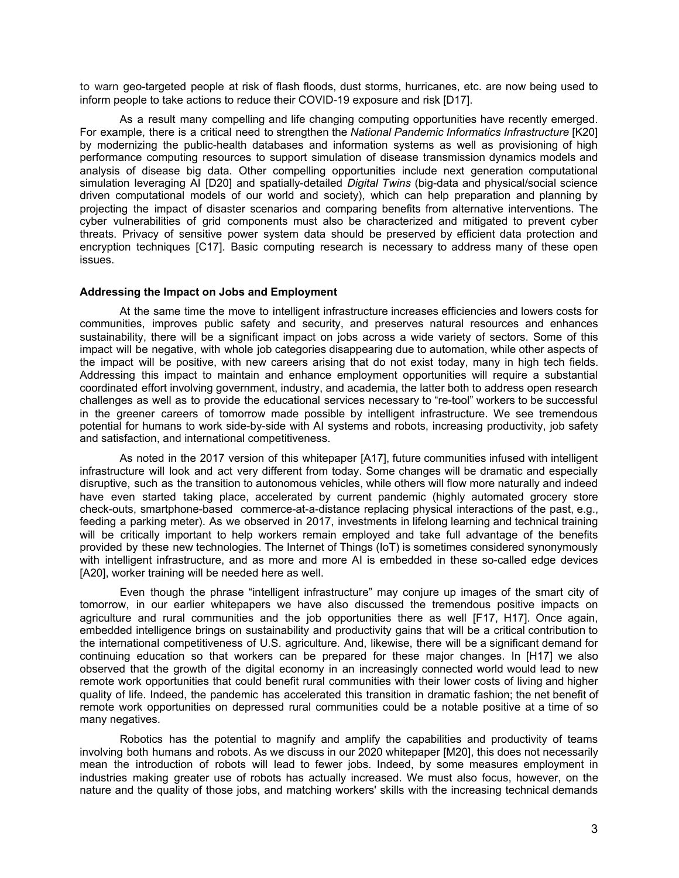to warn geo-targeted people at risk of flash floods, dust storms, hurricanes, etc. are now being used to inform people to take actions to reduce their COVID-19 exposure and risk [D17].

As a result many compelling and life changing computing opportunities have recently emerged. For example, there is a critical need to strengthen the *National Pandemic Informatics Infrastructure* [K20] by modernizing the public-health databases and information systems as well as provisioning of high performance computing resources to support simulation of disease transmission dynamics models and analysis of disease big data. Other compelling opportunities include next generation computational simulation leveraging AI [D20] and spatially-detailed *Digital Twins* (big-data and physical/social science driven computational models of our world and society), which can help preparation and planning by projecting the impact of disaster scenarios and comparing benefits from alternative interventions. The cyber vulnerabilities of grid components must also be characterized and mitigated to prevent cyber threats. Privacy of sensitive power system data should be preserved by efficient data protection and encryption techniques [C17]. Basic computing research is necessary to address many of these open issues.

#### **Addressing the Impact on Jobs and Employment**

At the same time the move to intelligent infrastructure increases efficiencies and lowers costs for communities, improves public safety and security, and preserves natural resources and enhances sustainability, there will be a significant impact on jobs across a wide variety of sectors. Some of this impact will be negative, with whole job categories disappearing due to automation, while other aspects of the impact will be positive, with new careers arising that do not exist today, many in high tech fields. Addressing this impact to maintain and enhance employment opportunities will require a substantial coordinated effort involving government, industry, and academia, the latter both to address open research challenges as well as to provide the educational services necessary to "re-tool" workers to be successful in the greener careers of tomorrow made possible by intelligent infrastructure. We see tremendous potential for humans to work side-by-side with AI systems and robots, increasing productivity, job safety and satisfaction, and international competitiveness.

As noted in the 2017 version of this whitepaper [A17], future communities infused with intelligent infrastructure will look and act very different from today. Some changes will be dramatic and especially disruptive, such as the transition to autonomous vehicles, while others will flow more naturally and indeed have even started taking place, accelerated by current pandemic (highly automated grocery store check-outs, smartphone-based commerce-at-a-distance replacing physical interactions of the past, e.g., feeding a parking meter). As we observed in 2017, investments in lifelong learning and technical training will be critically important to help workers remain employed and take full advantage of the benefits provided by these new technologies. The Internet of Things (IoT) is sometimes considered synonymously with intelligent infrastructure, and as more and more AI is embedded in these so-called edge devices [A20], worker training will be needed here as well.

Even though the phrase "intelligent infrastructure" may conjure up images of the smart city of tomorrow, in our earlier whitepapers we have also discussed the tremendous positive impacts on agriculture and rural communities and the job opportunities there as well [F17, H17]. Once again, embedded intelligence brings on sustainability and productivity gains that will be a critical contribution to the international competitiveness of U.S. agriculture. And, likewise, there will be a significant demand for continuing education so that workers can be prepared for these major changes. In [H17] we also observed that the growth of the digital economy in an increasingly connected world would lead to new remote work opportunities that could benefit rural communities with their lower costs of living and higher quality of life. Indeed, the pandemic has accelerated this transition in dramatic fashion; the net benefit of remote work opportunities on depressed rural communities could be a notable positive at a time of so many negatives.

Robotics has the potential to magnify and amplify the capabilities and productivity of teams involving both humans and robots. As we discuss in our 2020 whitepaper [M20], this does not necessarily mean the introduction of robots will lead to fewer jobs. Indeed, by some measures employment in industries making greater use of robots has actually increased. We must also focus, however, on the nature and the quality of those jobs, and matching workers' skills with the increasing technical demands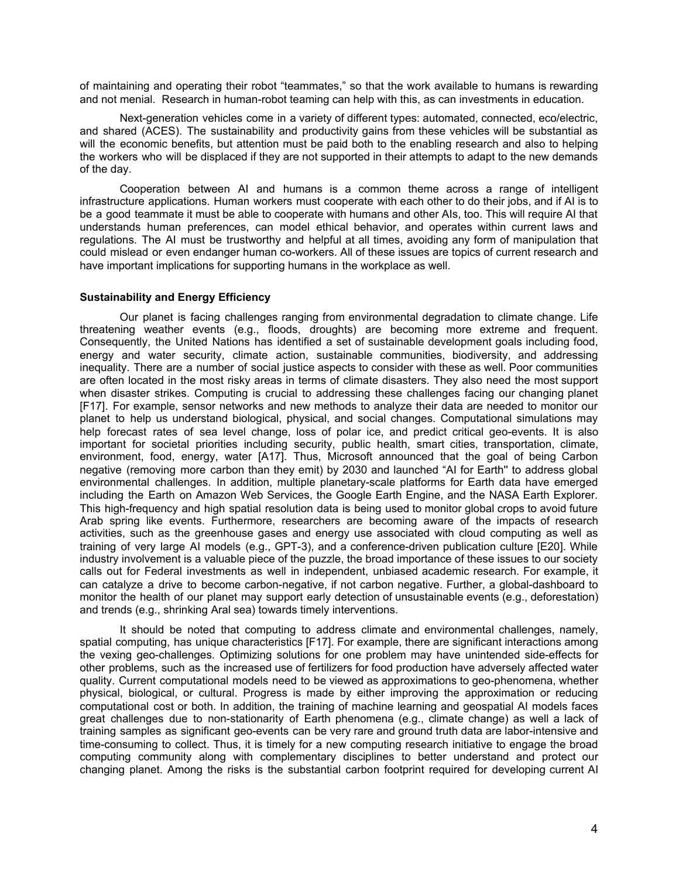of maintaining and operating their robot "teammates," so that the work available to humans is rewarding and not menial. Research in human-robot teaming can help with this, as can investments in education.

Next-generation vehicles come in a variety of different types: automated, connected, eco/electric, and shared (ACES). The sustainability and productivity gains from these vehicles will be substantial as will the economic benefits, but attention must be paid both to the enabling research and also to helping the workers who will be displaced if they are not supported in their attempts to adapt to the new demands of the day.

Cooperation between AI and humans is a common theme across a range of intelligent infrastructure applications. Human workers must cooperate with each other to do their jobs, and if AI is to be a good teammate it must be able to cooperate with humans and other AIs, too. This will require AI that understands human preferences, can model ethical behavior, and operates within current laws and regulations. The AI must be trustworthy and helpful at all times, avoiding any form of manipulation that could mislead or even endanger human co-workers. All of these issues are topics of current research and have important implications for supporting humans in the workplace as well.

#### **Sustainability and Energy Efficiency**

Our planet is facing challenges ranging from environmental degradation to climate change. Life threatening weather events (e.g., floods, droughts) are becoming more extreme and frequent. Consequently, the United Nations has identified a set of sustainable development goals including food, energy and water security, climate action, sustainable communities, biodiversity, and addressing inequality. There are a number of social justice aspects to consider with these as well. Poor communities are often located in the most risky areas in terms of climate disasters. They also need the most support when disaster strikes. Computing is crucial to addressing these challenges facing our changing planet [F17]. For example, sensor networks and new methods to analyze their data are needed to monitor our planet to help us understand biological, physical, and social changes. Computational simulations may help forecast rates of sea level change, loss of polar ice, and predict critical geo-events. It is also important for societal priorities including security, public health, smart cities, transportation, climate, environment, food, energy, water [A17]. Thus, Microsoft announced that the goal of being Carbon negative (removing more carbon than they emit) by 2030 and launched "AI for Earth'' to address global environmental challenges. In addition, multiple planetary-scale platforms for Earth data have emerged including the Earth on Amazon Web Services, the Google Earth Engine, and the NASA Earth Explorer. This high-frequency and high spatial resolution data is being used to monitor global crops to avoid future Arab spring like events. Furthermore, researchers are becoming aware of the impacts of research activities, such as the greenhouse gases and energy use associated with cloud computing as well as training of very large AI models (e.g., GPT-3), and a conference-driven publication culture [E20]. While industry involvement is a valuable piece of the puzzle, the broad importance of these issues to our society calls out for Federal investments as well in independent, unbiased academic research. For example, it can catalyze a drive to become carbon-negative, if not carbon negative. Further, a global-dashboard to monitor the health of our planet may support early detection of unsustainable events (e.g., deforestation) and trends (e.g., shrinking Aral sea) towards timely interventions.

It should be noted that computing to address climate and environmental challenges, namely, spatial computing, has unique characteristics [F17]. For example, there are significant interactions among the vexing geo-challenges. Optimizing solutions for one problem may have unintended side-effects for other problems, such as the increased use of fertilizers for food production have adversely affected water quality. Current computational models need to be viewed as approximations to geo-phenomena, whether physical, biological, or cultural. Progress is made by either improving the approximation or reducing computational cost or both. In addition, the training of machine learning and geospatial AI models faces great challenges due to non-stationarity of Earth phenomena (e.g., climate change) as well a lack of training samples as significant geo-events can be very rare and ground truth data are labor-intensive and time-consuming to collect. Thus, it is timely for a new computing research initiative to engage the broad computing community along with complementary disciplines to better understand and protect our changing planet. Among the risks is the substantial carbon footprint required for developing current AI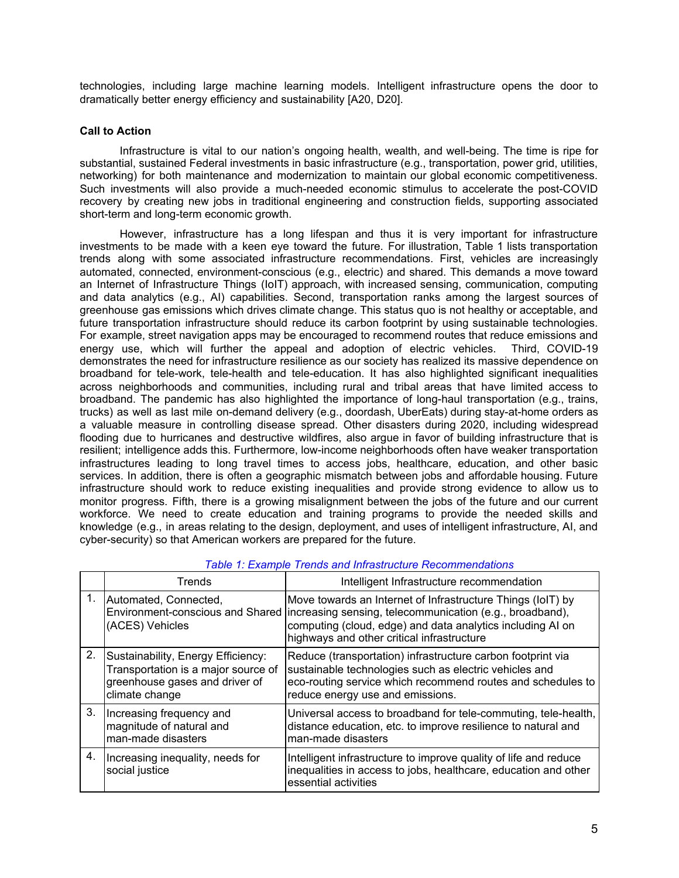technologies, including large machine learning models. Intelligent infrastructure opens the door to dramatically better energy efficiency and sustainability [A20, D20].

## **Call to Action**

Infrastructure is vital to our nation's ongoing health, wealth, and well-being. The time is ripe for substantial, sustained Federal investments in basic infrastructure (e.g., transportation, power grid, utilities, networking) for both maintenance and modernization to maintain our global economic competitiveness. Such investments will also provide a much-needed economic stimulus to accelerate the post-COVID recovery by creating new jobs in traditional engineering and construction fields, supporting associated short-term and long-term economic growth.

However, infrastructure has a long lifespan and thus it is very important for infrastructure investments to be made with a keen eye toward the future. For illustration, Table 1 lists transportation trends along with some associated infrastructure recommendations. First, vehicles are increasingly automated, connected, environment-conscious (e.g., electric) and shared. This demands a move toward an Internet of Infrastructure Things (IoIT) approach, with increased sensing, communication, computing and data analytics (e.g., AI) capabilities. Second, transportation ranks among the largest sources of greenhouse gas emissions which drives climate change. This status quo is not healthy or acceptable, and future transportation infrastructure should reduce its carbon footprint by using sustainable technologies. For example, street navigation apps may be encouraged to recommend routes that reduce emissions and energy use, which will further the appeal and adoption of electric vehicles. Third, COVID-19 demonstrates the need for infrastructure resilience as our society has realized its massive dependence on broadband for tele-work, tele-health and tele-education. It has also highlighted significant inequalities across neighborhoods and communities, including rural and tribal areas that have limited access to broadband. The pandemic has also highlighted the importance of long-haul transportation (e.g., trains, trucks) as well as last mile on-demand delivery (e.g., doordash, UberEats) during stay-at-home orders as a valuable measure in controlling disease spread. Other disasters during 2020, including widespread flooding due to hurricanes and destructive wildfires, also argue in favor of building infrastructure that is resilient; intelligence adds this. Furthermore, low-income neighborhoods often have weaker transportation infrastructures leading to long travel times to access jobs, healthcare, education, and other basic services. In addition, there is often a geographic mismatch between jobs and affordable housing. Future infrastructure should work to reduce existing inequalities and provide strong evidence to allow us to monitor progress. Fifth, there is a growing misalignment between the jobs of the future and our current workforce. We need to create education and training programs to provide the needed skills and knowledge (e.g., in areas relating to the design, deployment, and uses of intelligent infrastructure, AI, and cyber-security) so that American workers are prepared for the future.

|         | Trends                                                                                                                        | Intelligent Infrastructure recommendation                                                                                                                                                                                                                            |
|---------|-------------------------------------------------------------------------------------------------------------------------------|----------------------------------------------------------------------------------------------------------------------------------------------------------------------------------------------------------------------------------------------------------------------|
| $1_{-}$ | Automated, Connected,<br>(ACES) Vehicles                                                                                      | Move towards an Internet of Infrastructure Things (IoIT) by<br>Environment-conscious and Shared increasing sensing, telecommunication (e.g., broadband),<br>computing (cloud, edge) and data analytics including AI on<br>highways and other critical infrastructure |
| 2.      | Sustainability, Energy Efficiency:<br>Transportation is a major source of<br>greenhouse gases and driver of<br>climate change | Reduce (transportation) infrastructure carbon footprint via<br>sustainable technologies such as electric vehicles and<br>eco-routing service which recommend routes and schedules to<br>reduce energy use and emissions.                                             |
| 3.      | Increasing frequency and<br>magnitude of natural and<br>man-made disasters                                                    | Universal access to broadband for tele-commuting, tele-health,<br>distance education, etc. to improve resilience to natural and<br>man-made disasters                                                                                                                |
| 4.      | Increasing inequality, needs for<br>social justice                                                                            | Intelligent infrastructure to improve quality of life and reduce<br>inequalities in access to jobs, healthcare, education and other<br>essential activities                                                                                                          |

# *Table 1: Example Trends and Infrastructure Recommendations*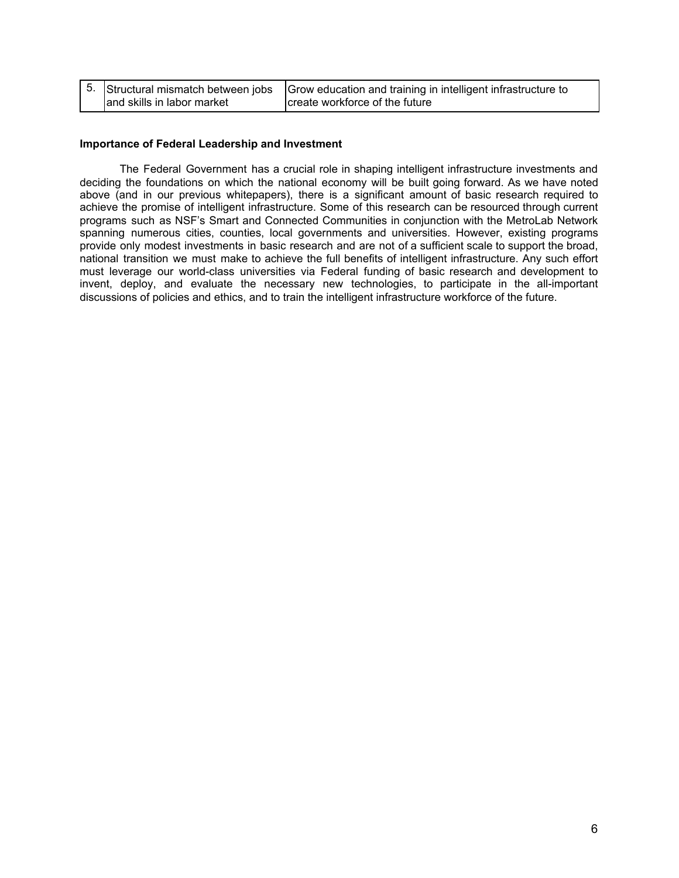|                            | $5.$ Structural mismatch between jobs $ G$ row education and training in intelligent infrastructure to |
|----------------------------|--------------------------------------------------------------------------------------------------------|
| and skills in labor market | create workforce of the future                                                                         |

### **Importance of Federal Leadership and Investment**

The Federal Government has a crucial role in shaping intelligent infrastructure investments and deciding the foundations on which the national economy will be built going forward. As we have noted above (and in our previous whitepapers), there is a significant amount of basic research required to achieve the promise of intelligent infrastructure. Some of this research can be resourced through current programs such as NSF's Smart and Connected Communities in conjunction with the MetroLab Network spanning numerous cities, counties, local governments and universities. However, existing programs provide only modest investments in basic research and are not of a sufficient scale to support the broad, national transition we must make to achieve the full benefits of intelligent infrastructure. Any such effort must leverage our world-class universities via Federal funding of basic research and development to invent, deploy, and evaluate the necessary new technologies, to participate in the all-important discussions of policies and ethics, and to train the intelligent infrastructure workforce of the future.